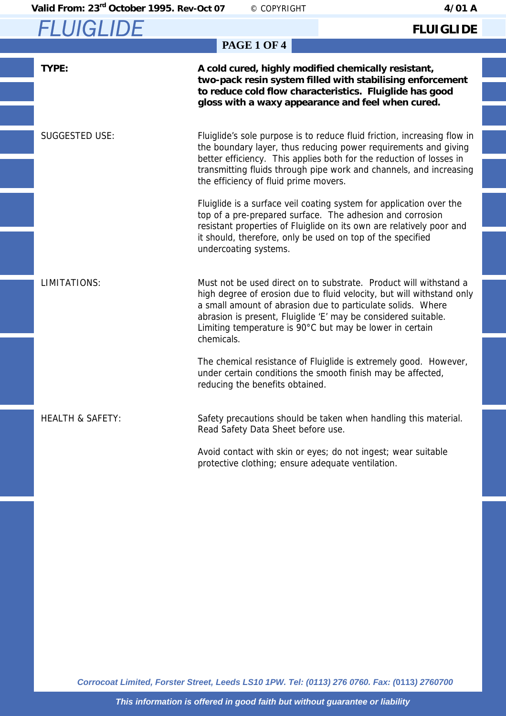### **FLUIGLIDE**

| <b>PAGE 1 OF 4</b>          |                                                                                                                                                                                                                                                                                                                                                       |  |  |  |
|-----------------------------|-------------------------------------------------------------------------------------------------------------------------------------------------------------------------------------------------------------------------------------------------------------------------------------------------------------------------------------------------------|--|--|--|
| TYPE:                       | A cold cured, highly modified chemically resistant,<br>two-pack resin system filled with stabilising enforcement<br>to reduce cold flow characteristics. Fluiglide has good<br>gloss with a waxy appearance and feel when cured.                                                                                                                      |  |  |  |
| <b>SUGGESTED USE:</b>       | Fluiglide's sole purpose is to reduce fluid friction, increasing flow in<br>the boundary layer, thus reducing power requirements and giving<br>better efficiency. This applies both for the reduction of losses in<br>transmitting fluids through pipe work and channels, and increasing<br>the efficiency of fluid prime movers.                     |  |  |  |
|                             | Fluiglide is a surface veil coating system for application over the<br>top of a pre-prepared surface. The adhesion and corrosion<br>resistant properties of Fluiglide on its own are relatively poor and<br>it should, therefore, only be used on top of the specified<br>undercoating systems.                                                       |  |  |  |
| <b>LIMITATIONS:</b>         | Must not be used direct on to substrate. Product will withstand a<br>high degree of erosion due to fluid velocity, but will withstand only<br>a small amount of abrasion due to particulate solids. Where<br>abrasion is present, Fluiglide 'E' may be considered suitable.<br>Limiting temperature is 90°C but may be lower in certain<br>chemicals. |  |  |  |
|                             | The chemical resistance of Fluiglide is extremely good. However,<br>under certain conditions the smooth finish may be affected,<br>reducing the benefits obtained.                                                                                                                                                                                    |  |  |  |
| <b>HEALTH &amp; SAFETY:</b> | Safety precautions should be taken when handling this material.<br>Read Safety Data Sheet before use.                                                                                                                                                                                                                                                 |  |  |  |
|                             | Avoid contact with skin or eyes; do not ingest; wear suitable<br>protective clothing; ensure adequate ventilation.                                                                                                                                                                                                                                    |  |  |  |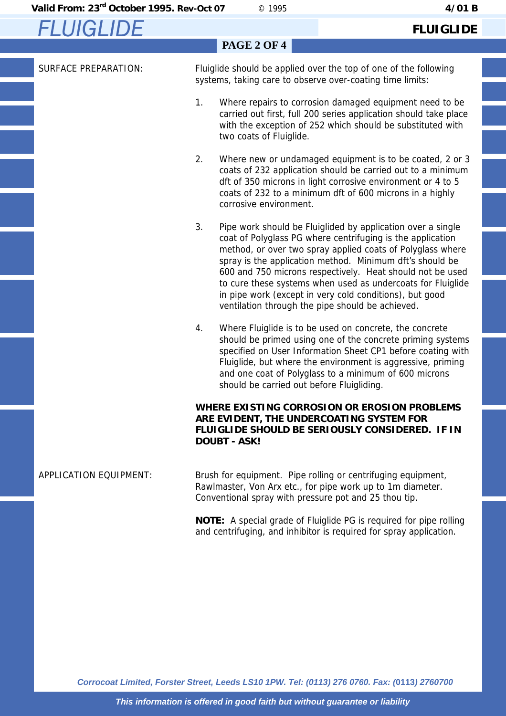### **FLUIGLIDE**

|                             | <b>PAGE 2 OF 4</b>                                                                                                                                                                                                                                                                                                                                                                                                                                                                                   |  |
|-----------------------------|------------------------------------------------------------------------------------------------------------------------------------------------------------------------------------------------------------------------------------------------------------------------------------------------------------------------------------------------------------------------------------------------------------------------------------------------------------------------------------------------------|--|
| <b>SURFACE PREPARATION:</b> | Fluiglide should be applied over the top of one of the following<br>systems, taking care to observe over-coating time limits:                                                                                                                                                                                                                                                                                                                                                                        |  |
|                             | 1.<br>Where repairs to corrosion damaged equipment need to be<br>carried out first, full 200 series application should take place<br>with the exception of 252 which should be substituted with<br>two coats of Fluiglide.                                                                                                                                                                                                                                                                           |  |
|                             | 2.<br>Where new or undamaged equipment is to be coated, 2 or 3<br>coats of 232 application should be carried out to a minimum<br>dft of 350 microns in light corrosive environment or 4 to 5<br>coats of 232 to a minimum dft of 600 microns in a highly<br>corrosive environment.                                                                                                                                                                                                                   |  |
|                             | 3.<br>Pipe work should be Fluiglided by application over a single<br>coat of Polyglass PG where centrifuging is the application<br>method, or over two spray applied coats of Polyglass where<br>spray is the application method. Minimum dft's should be<br>600 and 750 microns respectively. Heat should not be used<br>to cure these systems when used as undercoats for Fluiglide<br>in pipe work (except in very cold conditions), but good<br>ventilation through the pipe should be achieved. |  |
|                             | Where Fluiglide is to be used on concrete, the concrete<br>4.<br>should be primed using one of the concrete priming systems<br>specified on User Information Sheet CP1 before coating with<br>Fluiglide, but where the environment is aggressive, priming<br>and one coat of Polyglass to a minimum of 600 microns<br>should be carried out before Fluigliding.                                                                                                                                      |  |
|                             | WHERE EXISTING CORROSION OR EROSION PROBLEMS<br>ARE EVIDENT, THE UNDERCOATING SYSTEM FOR<br>FLUIGLIDE SHOULD BE SERIOUSLY CONSIDERED. IF IN<br><b>DOUBT - ASK!</b>                                                                                                                                                                                                                                                                                                                                   |  |
| APPLICATION EQUIPMENT:      | Brush for equipment. Pipe rolling or centrifuging equipment,<br>Rawlmaster, Von Arx etc., for pipe work up to 1m diameter.<br>Conventional spray with pressure pot and 25 thou tip.                                                                                                                                                                                                                                                                                                                  |  |

**NOTE:** A special grade of Fluiglide PG is required for pipe rolling and centrifuging, and inhibitor is required for spray application.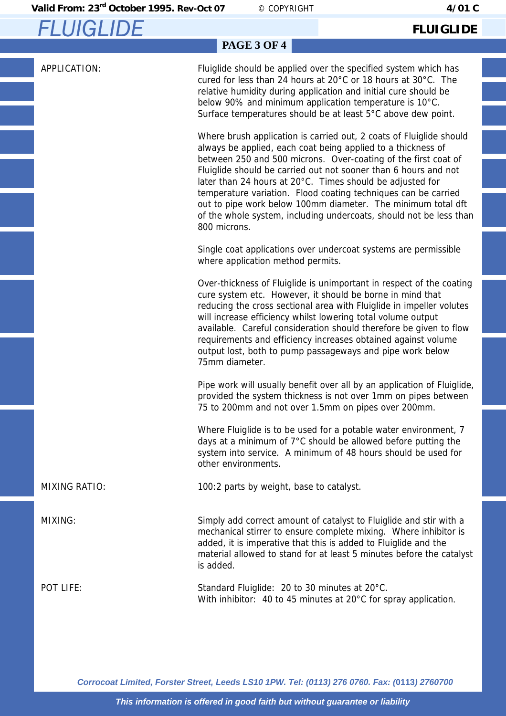**FLUIGLIDE** 

## **PAGE 3 OF 4**

APPLICATION: Fluiglide should be applied over the specified system which has cured for less than 24 hours at 20°C or 18 hours at 30°C. The relative humidity during application and initial cure should be below 90% and minimum application temperature is 10°C. Surface temperatures should be at least 5°C above dew point.

> Where brush application is carried out, 2 coats of Fluiglide should always be applied, each coat being applied to a thickness of between 250 and 500 microns. Over-coating of the first coat of Fluiglide should be carried out not sooner than 6 hours and not later than 24 hours at 20°C. Times should be adjusted for temperature variation. Flood coating techniques can be carried out to pipe work below 100mm diameter. The minimum total dft of the whole system, including undercoats, should not be less than 800 microns.

 Single coat applications over undercoat systems are permissible where application method permits.

 Over-thickness of Fluiglide is unimportant in respect of the coating cure system etc. However, it should be borne in mind that reducing the cross sectional area with Fluiglide in impeller volutes will increase efficiency whilst lowering total volume output available. Careful consideration should therefore be given to flow requirements and efficiency increases obtained against volume output lost, both to pump passageways and pipe work below 75mm diameter.

 Pipe work will usually benefit over all by an application of Fluiglide, provided the system thickness is not over 1mm on pipes between 75 to 200mm and not over 1.5mm on pipes over 200mm.

 Where Fluiglide is to be used for a potable water environment, 7 days at a minimum of 7°C should be allowed before putting the system into service. A minimum of 48 hours should be used for other environments.

MIXING RATIO: 100:2 parts by weight, base to catalyst.

MIXING: Simply add correct amount of catalyst to Fluiglide and stir with a mechanical stirrer to ensure complete mixing. Where inhibitor is added, it is imperative that this is added to Fluiglide and the material allowed to stand for at least 5 minutes before the catalyst is added.

POT LIFE: Standard Fluiglide: 20 to 30 minutes at 20°C. With inhibitor: 40 to 45 minutes at 20°C for spray application.